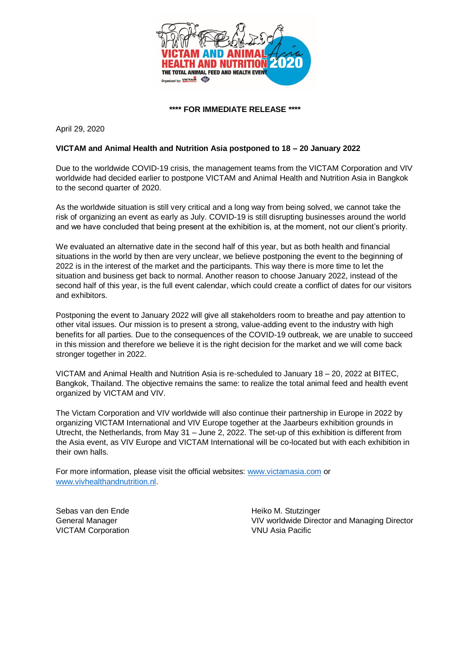

## **\*\*\*\* FOR IMMEDIATE RELEASE \*\*\*\***

April 29, 2020

## **VICTAM and Animal Health and Nutrition Asia postponed to 18 – 20 January 2022**

Due to the worldwide COVID-19 crisis, the management teams from the VICTAM Corporation and VIV worldwide had decided earlier to postpone VICTAM and Animal Health and Nutrition Asia in Bangkok to the second quarter of 2020.

As the worldwide situation is still very critical and a long way from being solved, we cannot take the risk of organizing an event as early as July. COVID-19 is still disrupting businesses around the world and we have concluded that being present at the exhibition is, at the moment, not our client's priority.

We evaluated an alternative date in the second half of this year, but as both health and financial situations in the world by then are very unclear, we believe postponing the event to the beginning of 2022 is in the interest of the market and the participants. This way there is more time to let the situation and business get back to normal. Another reason to choose January 2022, instead of the second half of this year, is the full event calendar, which could create a conflict of dates for our visitors and exhibitors.

Postponing the event to January 2022 will give all stakeholders room to breathe and pay attention to other vital issues. Our mission is to present a strong, value-adding event to the industry with high benefits for all parties. Due to the consequences of the COVID-19 outbreak, we are unable to succeed in this mission and therefore we believe it is the right decision for the market and we will come back stronger together in 2022.

VICTAM and Animal Health and Nutrition Asia is re-scheduled to January 18 – 20, 2022 at BITEC, Bangkok, Thailand. The objective remains the same: to realize the total animal feed and health event organized by VICTAM and VIV.

The Victam Corporation and VIV worldwide will also continue their partnership in Europe in 2022 by organizing VICTAM International and VIV Europe together at the Jaarbeurs exhibition grounds in Utrecht, the Netherlands, from May 31 – June 2, 2022. The set-up of this exhibition is different from the Asia event, as VIV Europe and VICTAM International will be co-located but with each exhibition in their own halls.

For more information, please visit the official websites: [www.victamasia.com](http://www.victamasia.com/) or [www.vivhealthandnutrition.nl.](http://www.vivhealthandnutrition.nl/)

Sebas van den Ende Heiko M. Stutzinger VICTAM Corporation VICTAM Corporation

General Manager VIV worldwide Director and Managing Director